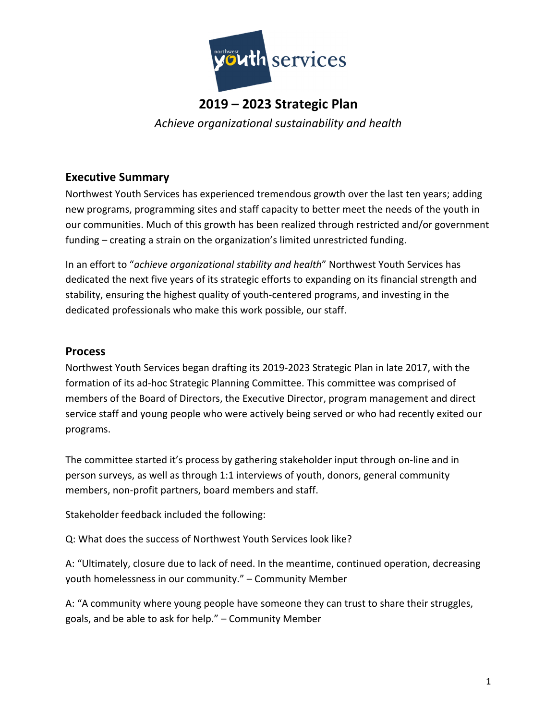

### **2019 – 2023 Strategic Plan**  *Achieve organizational sustainability and health*

### **Executive Summary**

Northwest Youth Services has experienced tremendous growth over the last ten years; adding new programs, programming sites and staff capacity to better meet the needs of the youth in our communities. Much of this growth has been realized through restricted and/or government funding – creating a strain on the organization's limited unrestricted funding.

In an effort to "*achieve organizational stability and health*" Northwest Youth Services has dedicated the next five years of its strategic efforts to expanding on its financial strength and stability, ensuring the highest quality of youth‐centered programs, and investing in the dedicated professionals who make this work possible, our staff.

### **Process**

Northwest Youth Services began drafting its 2019‐2023 Strategic Plan in late 2017, with the formation of its ad-hoc Strategic Planning Committee. This committee was comprised of members of the Board of Directors, the Executive Director, program management and direct service staff and young people who were actively being served or who had recently exited our programs.

The committee started it's process by gathering stakeholder input through on‐line and in person surveys, as well as through 1:1 interviews of youth, donors, general community members, non‐profit partners, board members and staff.

Stakeholder feedback included the following:

Q: What does the success of Northwest Youth Services look like?

A: "Ultimately, closure due to lack of need. In the meantime, continued operation, decreasing youth homelessness in our community." – Community Member

A: "A community where young people have someone they can trust to share their struggles, goals, and be able to ask for help." – Community Member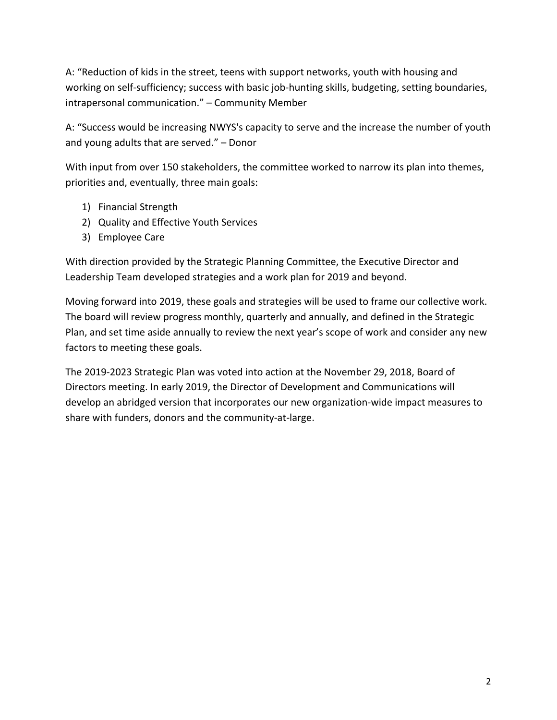A: "Reduction of kids in the street, teens with support networks, youth with housing and working on self-sufficiency; success with basic job-hunting skills, budgeting, setting boundaries, intrapersonal communication." – Community Member

A: "Success would be increasing NWYS's capacity to serve and the increase the number of youth and young adults that are served." – Donor

With input from over 150 stakeholders, the committee worked to narrow its plan into themes, priorities and, eventually, three main goals:

- 1) Financial Strength
- 2) Quality and Effective Youth Services
- 3) Employee Care

With direction provided by the Strategic Planning Committee, the Executive Director and Leadership Team developed strategies and a work plan for 2019 and beyond.

Moving forward into 2019, these goals and strategies will be used to frame our collective work. The board will review progress monthly, quarterly and annually, and defined in the Strategic Plan, and set time aside annually to review the next year's scope of work and consider any new factors to meeting these goals.

The 2019‐2023 Strategic Plan was voted into action at the November 29, 2018, Board of Directors meeting. In early 2019, the Director of Development and Communications will develop an abridged version that incorporates our new organization‐wide impact measures to share with funders, donors and the community‐at‐large.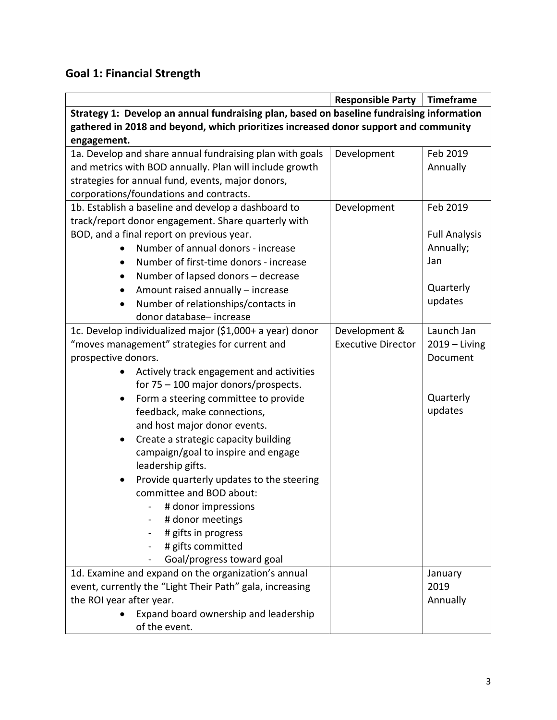## **Goal 1: Financial Strength**

|                                                                                           | <b>Responsible Party</b>  | <b>Timeframe</b>     |
|-------------------------------------------------------------------------------------------|---------------------------|----------------------|
| Strategy 1: Develop an annual fundraising plan, based on baseline fundraising information |                           |                      |
| gathered in 2018 and beyond, which prioritizes increased donor support and community      |                           |                      |
| engagement.                                                                               |                           |                      |
| 1a. Develop and share annual fundraising plan with goals                                  | Development               | Feb 2019             |
| and metrics with BOD annually. Plan will include growth                                   |                           | Annually             |
| strategies for annual fund, events, major donors,                                         |                           |                      |
| corporations/foundations and contracts.                                                   |                           |                      |
| 1b. Establish a baseline and develop a dashboard to                                       | Development               | Feb 2019             |
| track/report donor engagement. Share quarterly with                                       |                           |                      |
| BOD, and a final report on previous year.                                                 |                           | <b>Full Analysis</b> |
| Number of annual donors - increase                                                        |                           | Annually;            |
| Number of first-time donors - increase<br>$\bullet$                                       |                           | Jan                  |
| Number of lapsed donors - decrease<br>$\bullet$                                           |                           |                      |
| Amount raised annually - increase<br>$\bullet$                                            |                           | Quarterly            |
| Number of relationships/contacts in                                                       |                           | updates              |
| donor database-increase                                                                   |                           |                      |
| 1c. Develop individualized major (\$1,000+ a year) donor                                  | Development &             | Launch Jan           |
| "moves management" strategies for current and                                             | <b>Executive Director</b> | $2019 - Living$      |
| prospective donors.                                                                       |                           | Document             |
| Actively track engagement and activities                                                  |                           |                      |
| for $75 - 100$ major donors/prospects.                                                    |                           |                      |
| Form a steering committee to provide<br>$\bullet$                                         |                           | Quarterly            |
| feedback, make connections,                                                               |                           | updates              |
| and host major donor events.                                                              |                           |                      |
| Create a strategic capacity building                                                      |                           |                      |
| campaign/goal to inspire and engage                                                       |                           |                      |
| leadership gifts.                                                                         |                           |                      |
| Provide quarterly updates to the steering                                                 |                           |                      |
| committee and BOD about:                                                                  |                           |                      |
| # donor impressions                                                                       |                           |                      |
| # donor meetings                                                                          |                           |                      |
| # gifts in progress                                                                       |                           |                      |
| # gifts committed                                                                         |                           |                      |
| Goal/progress toward goal                                                                 |                           |                      |
| 1d. Examine and expand on the organization's annual                                       |                           | January              |
| event, currently the "Light Their Path" gala, increasing                                  |                           | 2019                 |
| the ROI year after year.                                                                  |                           | Annually             |
| Expand board ownership and leadership                                                     |                           |                      |
| of the event.                                                                             |                           |                      |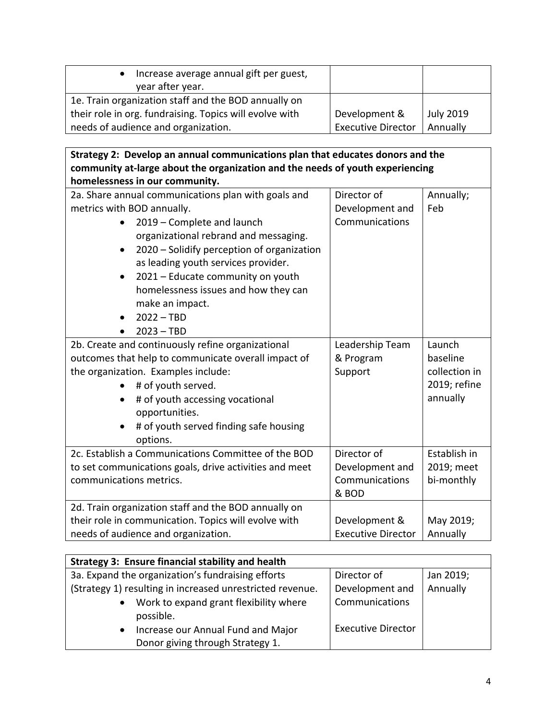| Increase average annual gift per guest,<br>year after year. |                           |                  |
|-------------------------------------------------------------|---------------------------|------------------|
| 1e. Train organization staff and the BOD annually on        |                           |                  |
| their role in org. fundraising. Topics will evolve with     | Development &             | <b>July 2019</b> |
| needs of audience and organization.                         | <b>Executive Director</b> | Annually         |

| Strategy 2: Develop an annual communications plan that educates donors and the |                           |               |
|--------------------------------------------------------------------------------|---------------------------|---------------|
| community at-large about the organization and the needs of youth experiencing  |                           |               |
| homelessness in our community.                                                 |                           |               |
| 2a. Share annual communications plan with goals and                            | Director of               | Annually;     |
| metrics with BOD annually.                                                     | Development and           | Feb           |
| 2019 - Complete and launch                                                     | Communications            |               |
| organizational rebrand and messaging.                                          |                           |               |
| 2020 - Solidify perception of organization<br>$\bullet$                        |                           |               |
| as leading youth services provider.                                            |                           |               |
| 2021 - Educate community on youth<br>$\bullet$                                 |                           |               |
| homelessness issues and how they can                                           |                           |               |
| make an impact.                                                                |                           |               |
| $2022 - TBD$<br>$\bullet$                                                      |                           |               |
| $2023 - TBD$                                                                   |                           |               |
| 2b. Create and continuously refine organizational                              | Leadership Team           | Launch        |
| outcomes that help to communicate overall impact of                            | & Program                 | baseline      |
| the organization. Examples include:                                            | Support                   | collection in |
| # of youth served.                                                             |                           | 2019; refine  |
| # of youth accessing vocational                                                |                           | annually      |
| opportunities.                                                                 |                           |               |
| # of youth served finding safe housing                                         |                           |               |
| options.                                                                       |                           |               |
| 2c. Establish a Communications Committee of the BOD                            | Director of               | Establish in  |
| to set communications goals, drive activities and meet                         | Development and           | 2019; meet    |
| communications metrics.                                                        | Communications            | bi-monthly    |
|                                                                                | & BOD                     |               |
| 2d. Train organization staff and the BOD annually on                           |                           |               |
| their role in communication. Topics will evolve with                           | Development &             | May 2019;     |
| needs of audience and organization.                                            | <b>Executive Director</b> | Annually      |

| <b>Strategy 3: Ensure financial stability and health</b>                            |                           |           |
|-------------------------------------------------------------------------------------|---------------------------|-----------|
| 3a. Expand the organization's fundraising efforts                                   | Director of               | Jan 2019; |
| (Strategy 1) resulting in increased unrestricted revenue.                           | Development and           | Annually  |
| Work to expand grant flexibility where<br>$\bullet$<br>possible.                    | Communications            |           |
| Increase our Annual Fund and Major<br>$\bullet$<br>Donor giving through Strategy 1. | <b>Executive Director</b> |           |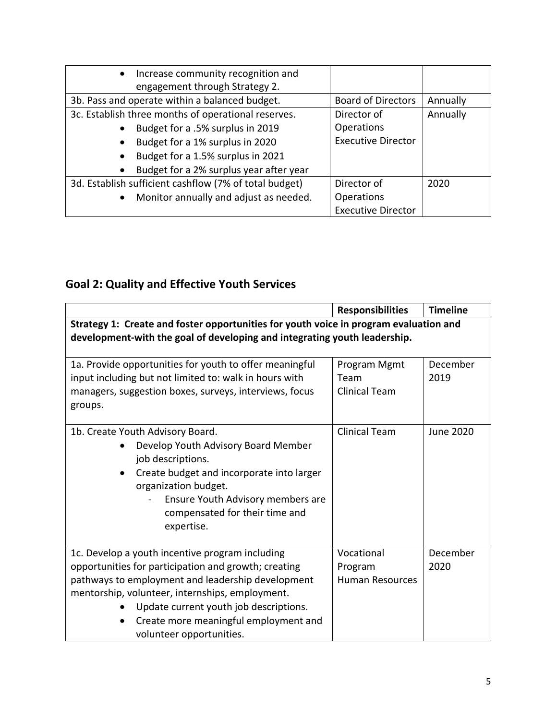| $\bullet$ | Increase community recognition and                     |                           |          |
|-----------|--------------------------------------------------------|---------------------------|----------|
|           | engagement through Strategy 2.                         |                           |          |
|           | 3b. Pass and operate within a balanced budget.         | <b>Board of Directors</b> | Annually |
|           | 3c. Establish three months of operational reserves.    | Director of               | Annually |
|           | Budget for a .5% surplus in 2019                       | <b>Operations</b>         |          |
| $\bullet$ | Budget for a 1% surplus in 2020                        | <b>Executive Director</b> |          |
| $\bullet$ | Budget for a 1.5% surplus in 2021                      |                           |          |
| $\bullet$ | Budget for a 2% surplus year after year                |                           |          |
|           | 3d. Establish sufficient cashflow (7% of total budget) | Director of               | 2020     |
| $\bullet$ | Monitor annually and adjust as needed.                 | Operations                |          |
|           |                                                        | <b>Executive Director</b> |          |

# **Goal 2: Quality and Effective Youth Services**

|                                                                                                                                                                                                                                                                                                                                             | <b>Responsibilities</b>                         | <b>Timeline</b>  |  |
|---------------------------------------------------------------------------------------------------------------------------------------------------------------------------------------------------------------------------------------------------------------------------------------------------------------------------------------------|-------------------------------------------------|------------------|--|
| Strategy 1: Create and foster opportunities for youth voice in program evaluation and<br>development-with the goal of developing and integrating youth leadership.                                                                                                                                                                          |                                                 |                  |  |
| 1a. Provide opportunities for youth to offer meaningful<br>input including but not limited to: walk in hours with<br>managers, suggestion boxes, surveys, interviews, focus<br>groups.                                                                                                                                                      | Program Mgmt<br>Team<br><b>Clinical Team</b>    | December<br>2019 |  |
| 1b. Create Youth Advisory Board.<br>Develop Youth Advisory Board Member<br>job descriptions.<br>Create budget and incorporate into larger<br>organization budget.<br>Ensure Youth Advisory members are<br>compensated for their time and<br>expertise.                                                                                      | <b>Clinical Team</b>                            | June 2020        |  |
| 1c. Develop a youth incentive program including<br>opportunities for participation and growth; creating<br>pathways to employment and leadership development<br>mentorship, volunteer, internships, employment.<br>Update current youth job descriptions.<br>Create more meaningful employment and<br>$\bullet$<br>volunteer opportunities. | Vocational<br>Program<br><b>Human Resources</b> | December<br>2020 |  |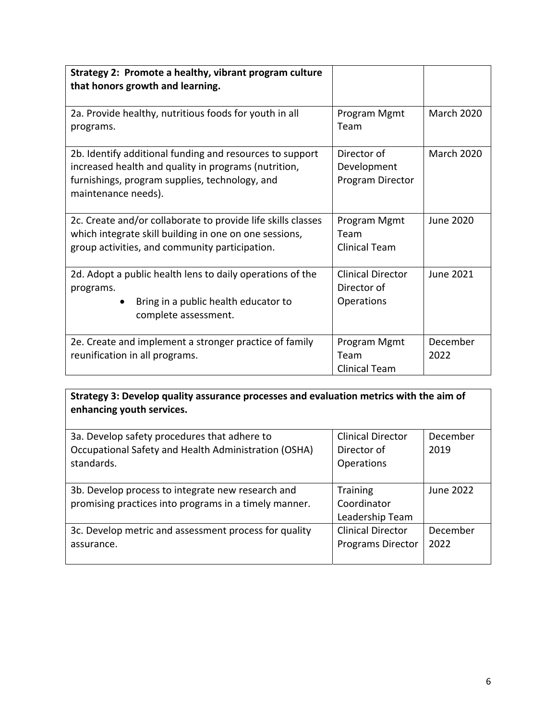| Strategy 2: Promote a healthy, vibrant program culture<br>that honors growth and learning.                                                                                                |                                                              |                   |
|-------------------------------------------------------------------------------------------------------------------------------------------------------------------------------------------|--------------------------------------------------------------|-------------------|
| 2a. Provide healthy, nutritious foods for youth in all<br>programs.                                                                                                                       | Program Mgmt<br>Team                                         | <b>March 2020</b> |
| 2b. Identify additional funding and resources to support<br>increased health and quality in programs (nutrition,<br>furnishings, program supplies, technology, and<br>maintenance needs). | Director of<br>Development<br>Program Director               | <b>March 2020</b> |
| 2c. Create and/or collaborate to provide life skills classes<br>which integrate skill building in one on one sessions,<br>group activities, and community participation.                  | Program Mgmt<br>Team<br><b>Clinical Team</b>                 | June 2020         |
| 2d. Adopt a public health lens to daily operations of the<br>programs.<br>Bring in a public health educator to<br>complete assessment.                                                    | <b>Clinical Director</b><br>Director of<br><b>Operations</b> | June 2021         |
| 2e. Create and implement a stronger practice of family<br>reunification in all programs.                                                                                                  | Program Mgmt<br>Team<br>Clinical Team                        | December<br>2022  |

**Strategy 3: Develop quality assurance processes and evaluation metrics with the aim of enhancing youth services.** 

| 3a. Develop safety procedures that adhere to          | <b>Clinical Director</b> | December  |
|-------------------------------------------------------|--------------------------|-----------|
| Occupational Safety and Health Administration (OSHA)  | Director of              | 2019      |
| standards.                                            | Operations               |           |
|                                                       |                          |           |
| 3b. Develop process to integrate new research and     | <b>Training</b>          | June 2022 |
| promising practices into programs in a timely manner. | Coordinator              |           |
|                                                       | Leadership Team          |           |
| 3c. Develop metric and assessment process for quality | <b>Clinical Director</b> | December  |
| assurance.                                            | <b>Programs Director</b> | 2022      |
|                                                       |                          |           |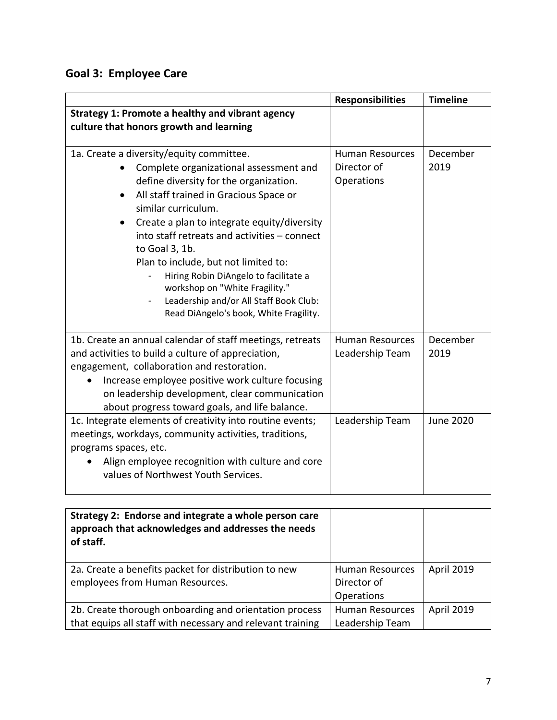# **Goal 3: Employee Care**

|                                                               | <b>Responsibilities</b> | <b>Timeline</b>  |
|---------------------------------------------------------------|-------------------------|------------------|
| Strategy 1: Promote a healthy and vibrant agency              |                         |                  |
| culture that honors growth and learning                       |                         |                  |
|                                                               |                         |                  |
| 1a. Create a diversity/equity committee.                      | <b>Human Resources</b>  | December         |
| Complete organizational assessment and                        | Director of             | 2019             |
| define diversity for the organization.                        | Operations              |                  |
| All staff trained in Gracious Space or<br>similar curriculum. |                         |                  |
| Create a plan to integrate equity/diversity                   |                         |                  |
| into staff retreats and activities - connect                  |                         |                  |
| to Goal 3, 1b.                                                |                         |                  |
| Plan to include, but not limited to:                          |                         |                  |
| Hiring Robin DiAngelo to facilitate a                         |                         |                  |
| workshop on "White Fragility."                                |                         |                  |
| Leadership and/or All Staff Book Club:                        |                         |                  |
| Read DiAngelo's book, White Fragility.                        |                         |                  |
| 1b. Create an annual calendar of staff meetings, retreats     | <b>Human Resources</b>  | December         |
| and activities to build a culture of appreciation,            | Leadership Team         | 2019             |
| engagement, collaboration and restoration.                    |                         |                  |
| Increase employee positive work culture focusing<br>$\bullet$ |                         |                  |
| on leadership development, clear communication                |                         |                  |
| about progress toward goals, and life balance.                |                         |                  |
| 1c. Integrate elements of creativity into routine events;     | Leadership Team         | <b>June 2020</b> |
| meetings, workdays, community activities, traditions,         |                         |                  |
| programs spaces, etc.                                         |                         |                  |
| Align employee recognition with culture and core              |                         |                  |
| values of Northwest Youth Services.                           |                         |                  |
|                                                               |                         |                  |

| Strategy 2: Endorse and integrate a whole person care<br>approach that acknowledges and addresses the needs<br>of staff. |                        |                   |
|--------------------------------------------------------------------------------------------------------------------------|------------------------|-------------------|
| 2a. Create a benefits packet for distribution to new                                                                     | Human Resources        | <b>April 2019</b> |
| employees from Human Resources.                                                                                          | Director of            |                   |
|                                                                                                                          | Operations             |                   |
| 2b. Create thorough onboarding and orientation process                                                                   | <b>Human Resources</b> | <b>April 2019</b> |
| that equips all staff with necessary and relevant training                                                               | Leadership Team        |                   |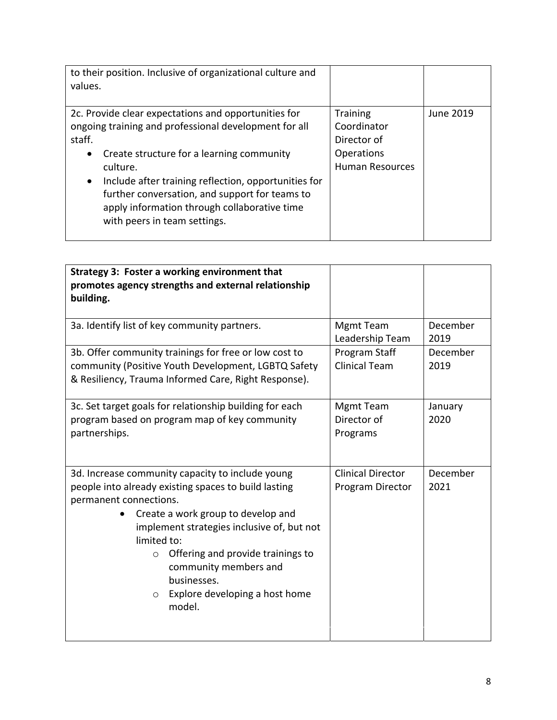| to their position. Inclusive of organizational culture and<br>values.                                                                                                                                                                                                                                                                                                                                |                                                                                       |           |
|------------------------------------------------------------------------------------------------------------------------------------------------------------------------------------------------------------------------------------------------------------------------------------------------------------------------------------------------------------------------------------------------------|---------------------------------------------------------------------------------------|-----------|
| 2c. Provide clear expectations and opportunities for<br>ongoing training and professional development for all<br>staff.<br>Create structure for a learning community<br>$\bullet$<br>culture.<br>Include after training reflection, opportunities for<br>$\bullet$<br>further conversation, and support for teams to<br>apply information through collaborative time<br>with peers in team settings. | <b>Training</b><br>Coordinator<br>Director of<br>Operations<br><b>Human Resources</b> | June 2019 |

| Strategy 3: Foster a working environment that<br>promotes agency strengths and external relationship<br>building.                                                                                                                                                                                                                                                                    |                                              |                  |
|--------------------------------------------------------------------------------------------------------------------------------------------------------------------------------------------------------------------------------------------------------------------------------------------------------------------------------------------------------------------------------------|----------------------------------------------|------------------|
| 3a. Identify list of key community partners.                                                                                                                                                                                                                                                                                                                                         | <b>Mgmt Team</b><br>Leadership Team          | December<br>2019 |
| 3b. Offer community trainings for free or low cost to<br>community (Positive Youth Development, LGBTQ Safety<br>& Resiliency, Trauma Informed Care, Right Response).                                                                                                                                                                                                                 | Program Staff<br><b>Clinical Team</b>        | December<br>2019 |
| 3c. Set target goals for relationship building for each<br>program based on program map of key community<br>partnerships.                                                                                                                                                                                                                                                            | <b>Mgmt Team</b><br>Director of<br>Programs  | January<br>2020  |
| 3d. Increase community capacity to include young<br>people into already existing spaces to build lasting<br>permanent connections.<br>Create a work group to develop and<br>implement strategies inclusive of, but not<br>limited to:<br>Offering and provide trainings to<br>$\circ$<br>community members and<br>businesses.<br>Explore developing a host home<br>$\circ$<br>model. | <b>Clinical Director</b><br>Program Director | December<br>2021 |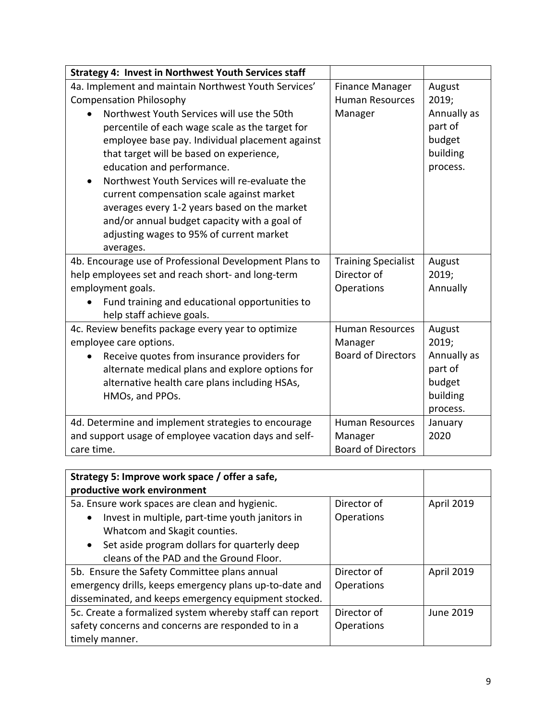| <b>Strategy 4: Invest in Northwest Youth Services staff</b>                                                                                                                                                                                                                                                                                                                                                                                                                       |                            |                                                          |
|-----------------------------------------------------------------------------------------------------------------------------------------------------------------------------------------------------------------------------------------------------------------------------------------------------------------------------------------------------------------------------------------------------------------------------------------------------------------------------------|----------------------------|----------------------------------------------------------|
| 4a. Implement and maintain Northwest Youth Services'                                                                                                                                                                                                                                                                                                                                                                                                                              | <b>Finance Manager</b>     | August                                                   |
| <b>Compensation Philosophy</b>                                                                                                                                                                                                                                                                                                                                                                                                                                                    | <b>Human Resources</b>     | 2019;                                                    |
| Northwest Youth Services will use the 50th<br>percentile of each wage scale as the target for<br>employee base pay. Individual placement against<br>that target will be based on experience,<br>education and performance.<br>Northwest Youth Services will re-evaluate the<br>current compensation scale against market<br>averages every 1-2 years based on the market<br>and/or annual budget capacity with a goal of<br>adjusting wages to 95% of current market<br>averages. | Manager                    | Annually as<br>part of<br>budget<br>building<br>process. |
| 4b. Encourage use of Professional Development Plans to                                                                                                                                                                                                                                                                                                                                                                                                                            | <b>Training Specialist</b> | August                                                   |
| help employees set and reach short- and long-term                                                                                                                                                                                                                                                                                                                                                                                                                                 | Director of                | 2019;                                                    |
| employment goals.                                                                                                                                                                                                                                                                                                                                                                                                                                                                 | Operations                 | Annually                                                 |
| Fund training and educational opportunities to<br>help staff achieve goals.                                                                                                                                                                                                                                                                                                                                                                                                       |                            |                                                          |
| 4c. Review benefits package every year to optimize                                                                                                                                                                                                                                                                                                                                                                                                                                | <b>Human Resources</b>     | August                                                   |
| employee care options.                                                                                                                                                                                                                                                                                                                                                                                                                                                            | Manager                    | 2019;                                                    |
| Receive quotes from insurance providers for<br>$\bullet$<br>alternate medical plans and explore options for<br>alternative health care plans including HSAs,<br>HMOs, and PPOs.                                                                                                                                                                                                                                                                                                   | <b>Board of Directors</b>  | Annually as<br>part of<br>budget<br>building<br>process. |
| 4d. Determine and implement strategies to encourage                                                                                                                                                                                                                                                                                                                                                                                                                               | <b>Human Resources</b>     | January                                                  |
| and support usage of employee vacation days and self-                                                                                                                                                                                                                                                                                                                                                                                                                             | Manager                    | 2020                                                     |
| care time.                                                                                                                                                                                                                                                                                                                                                                                                                                                                        | <b>Board of Directors</b>  |                                                          |

| Strategy 5: Improve work space / offer a safe,<br>productive work environment |             |                   |
|-------------------------------------------------------------------------------|-------------|-------------------|
| 5a. Ensure work spaces are clean and hygienic.                                | Director of | <b>April 2019</b> |
| Invest in multiple, part-time youth janitors in                               | Operations  |                   |
| Whatcom and Skagit counties.                                                  |             |                   |
| Set aside program dollars for quarterly deep<br>$\bullet$                     |             |                   |
| cleans of the PAD and the Ground Floor.                                       |             |                   |
| 5b. Ensure the Safety Committee plans annual                                  | Director of | <b>April 2019</b> |
| emergency drills, keeps emergency plans up-to-date and                        | Operations  |                   |
| disseminated, and keeps emergency equipment stocked.                          |             |                   |
| 5c. Create a formalized system whereby staff can report                       | Director of | June 2019         |
| safety concerns and concerns are responded to in a                            | Operations  |                   |
| timely manner.                                                                |             |                   |